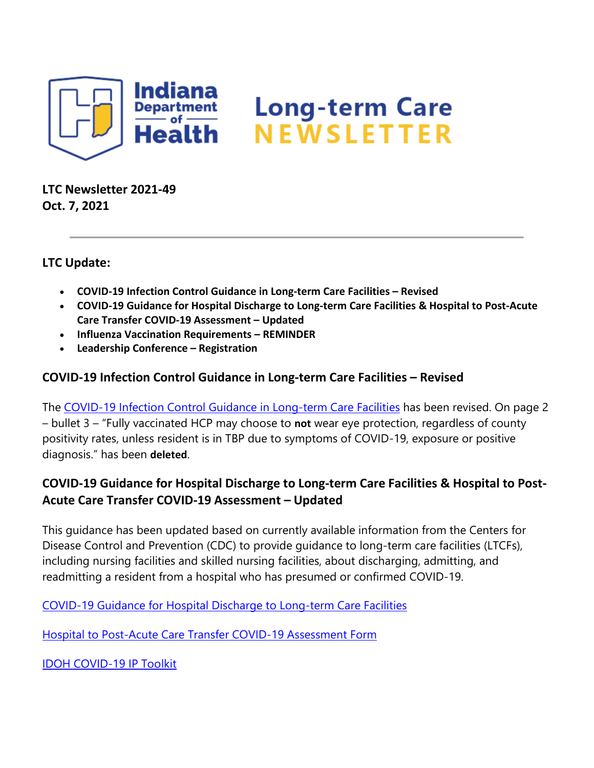

**LTC Newsletter 2021-49 Oct. 7, 2021**

### **LTC Update:**

- **COVID-19 Infection Control Guidance in Long-term Care Facilities – Revised**
- **COVID-19 Guidance for Hospital Discharge to Long-term Care Facilities & Hospital to Post-Acute Care Transfer COVID-19 Assessment – Updated**
- **Influenza Vaccination Requirements – REMINDER**
- **Leadership Conference – Registration**

## **COVID-19 Infection Control Guidance in Long-term Care Facilities – Revised**

The [COVID-19 Infection Control Guidance in Long-term Care Facilities](https://protect2.fireeye.com/v1/url?k=cd2aef2d-92b1d7c9-cd2ea62d-8621b744bf41-b1eb2a2e1e78a3aa&q=1&e=1cf32b54-a64c-4102-8944-9212d162242b&u=https%3A%2F%2Flnks.gd%2Fl%2FeyJhbGciOiJIUzI1NiJ9.eyJidWxsZXRpbl9saW5rX2lkIjoxMDAsInVyaSI6ImJwMjpjbGljayIsImJ1bGxldGluX2lkIjoiMjAyMTEwMDcuNDcwMzU1ODEiLCJ1cmwiOiJodHRwczovL3d3dy5jb3JvbmF2aXJ1cy5pbi5nb3YvZmlsZXMvQ09WSUQlMjAxOSUyMEluZmVjdGlvbiUyMENvbnRyb2wlMjBmb3IlMjBMVEMlMjBmYWNpbGl0aWVzJTIwOS0yNy0yMS5wZGYifQ.QGKAC9V7Ul4JZbLt737O_mHAt6rxqlUFiWuW0IRr3Fo%2Fs%2F1439130268%2Fbr%2F113553905447-l) has been revised. On page 2 – bullet 3 – "Fully vaccinated HCP may choose to **not** wear eye protection, regardless of county positivity rates, unless resident is in TBP due to symptoms of COVID-19, exposure or positive diagnosis." has been **deleted**.

# **COVID-19 Guidance for Hospital Discharge to Long-term Care Facilities & Hospital to Post-Acute Care Transfer COVID-19 Assessment – Updated**

This guidance has been updated based on currently available information from the Centers for Disease Control and Prevention (CDC) to provide guidance to long-term care facilities (LTCFs), including nursing facilities and skilled nursing facilities, about discharging, admitting, and readmitting a resident from a hospital who has presumed or confirmed COVID-19.

COVID-19 Guidance for Hospital [Discharge to Long-term Care Facilities](https://protect2.fireeye.com/v1/url?k=bd48bd59-e2d385bd-bd4cf459-8621b744bf41-be7ff1c23ce7e115&q=1&e=1cf32b54-a64c-4102-8944-9212d162242b&u=https%3A%2F%2Flnks.gd%2Fl%2FeyJhbGciOiJIUzI1NiJ9.eyJidWxsZXRpbl9saW5rX2lkIjoxMDEsInVyaSI6ImJwMjpjbGljayIsImJ1bGxldGluX2lkIjoiMjAyMTEwMDcuNDcwMzU1ODEiLCJ1cmwiOiJodHRwczovL3d3dy5jb3JvbmF2aXJ1cy5pbi5nb3YvZmlsZXMvSG9zcGl0YWwlMjB0byUyMExUQyUyMHRyYW5zZmVyJTIwVXBkYXRlJTIwMTAuNS4yMS5wZGYifQ.1Ug3idfDYSri23Gf-snBfoqBtaBBwdab4EU48fXvTwE%2Fs%2F1439130268%2Fbr%2F113553905447-l)

[Hospital to Post-Acute Care Transfer COVID-19 Assessment Form](https://protect2.fireeye.com/v1/url?k=359962a9-6a025a4d-359d2ba9-8621b744bf41-a99289c43460afa0&q=1&e=1cf32b54-a64c-4102-8944-9212d162242b&u=https%3A%2F%2Flnks.gd%2Fl%2FeyJhbGciOiJIUzI1NiJ9.eyJidWxsZXRpbl9saW5rX2lkIjoxMDIsInVyaSI6ImJwMjpjbGljayIsImJ1bGxldGluX2lkIjoiMjAyMTEwMDcuNDcwMzU1ODEiLCJ1cmwiOiJodHRwczovL3d3dy5jb3JvbmF2aXJ1cy5pbi5nb3YvZmlsZXMvSG9zcGl0YWwlMjB0byUyMFBvc3QtQWN1dGUlMjBDYXJlJTIwVHJhbnNmZXIlMjBDb3ZpZC0xOSUyMEFzc2Vzc21lbnQlMjBGb3JtJTIwMTAuNS4yMS5wZGYifQ.facZYHpYfisQ8HScGTDO9W3BusI6DfRX_7wUiLGs5sM%2Fs%2F1439130268%2Fbr%2F113553905447-l)

[IDOH COVID-19 IP Toolkit](https://protect2.fireeye.com/v1/url?k=7c9dda55-2306e2b1-7c999355-8621b744bf41-1f7a05a0817627eb&q=1&e=1cf32b54-a64c-4102-8944-9212d162242b&u=https%3A%2F%2Flnks.gd%2Fl%2FeyJhbGciOiJIUzI1NiJ9.eyJidWxsZXRpbl9saW5rX2lkIjoxMDMsInVyaSI6ImJwMjpjbGljayIsImJ1bGxldGluX2lkIjoiMjAyMTEwMDcuNDcwMzU1ODEiLCJ1cmwiOiJodHRwczovL3d3dy5jb3JvbmF2aXJ1cy5pbi5nb3YvZmlsZXMvSU5fQ09WSUQtMTklMjBJUCUyMFRvb2xraXQlMjBJU0RIXzEwLjYuMjEucGRmIn0.pAZP7rdtUU9UtEsOFWPoI62t217SIUtu94iwOQ3vXWY%2Fs%2F1439130268%2Fbr%2F113553905447-l)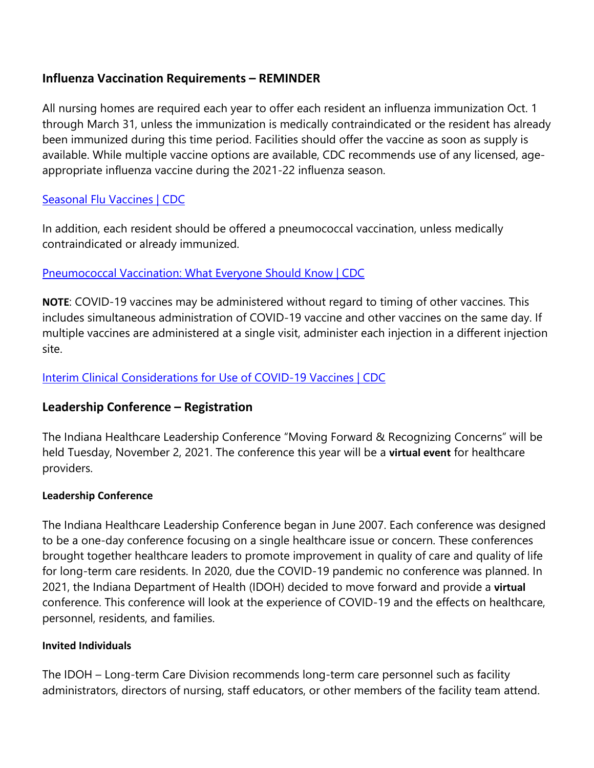## **Influenza Vaccination Requirements – REMINDER**

All nursing homes are required each year to offer each resident an influenza immunization Oct. 1 through March 31, unless the immunization is medically contraindicated or the resident has already been immunized during this time period. Facilities should offer the vaccine as soon as supply is available. While multiple vaccine options are available, CDC recommends use of any licensed, ageappropriate influenza vaccine during the 2021-22 influenza season.

## [Seasonal Flu Vaccines | CDC](https://protect2.fireeye.com/v1/url?k=c178e2e2-9ee3da06-c17cabe2-8621b744bf41-c9735e79f04d37ca&q=1&e=1cf32b54-a64c-4102-8944-9212d162242b&u=https%3A%2F%2Flnks.gd%2Fl%2FeyJhbGciOiJIUzI1NiJ9.eyJidWxsZXRpbl9saW5rX2lkIjoxMDQsInVyaSI6ImJwMjpjbGljayIsImJ1bGxldGluX2lkIjoiMjAyMTEwMDcuNDcwMzU1ODEiLCJ1cmwiOiJodHRwczovL3d3dy5jZGMuZ292L2ZsdS9wcmV2ZW50L2ZsdXNob3QuaHRtP3dlYj0xJndkTE9SPWM4RTI2MTI0RC1CNjkyLTQzNTUtODJFQy1EOTI2NEVFNjQ1M0IifQ.ggCNBNAfx9f08hfabMN5l2tMbOdpOTH1Q8xdlAW1haA%2Fs%2F1439130268%2Fbr%2F113553905447-l)

In addition, each resident should be offered a pneumococcal vaccination, unless medically contraindicated or already immunized.

## [Pneumococcal Vaccination: What Everyone Should Know | CDC](https://protect2.fireeye.com/v1/url?k=9f487544-c0d34da0-9f4c3c44-8621b744bf41-fd9627fbd0bd5678&q=1&e=1cf32b54-a64c-4102-8944-9212d162242b&u=https%3A%2F%2Flnks.gd%2Fl%2FeyJhbGciOiJIUzI1NiJ9.eyJidWxsZXRpbl9saW5rX2lkIjoxMDUsInVyaSI6ImJwMjpjbGljayIsImJ1bGxldGluX2lkIjoiMjAyMTEwMDcuNDcwMzU1ODEiLCJ1cmwiOiJodHRwczovL3d3dy5jZGMuZ292L3ZhY2NpbmVzL3ZwZC9wbmV1bW8vcHVibGljL2luZGV4Lmh0bWwifQ.eRs2cNpNKvaXyWcgslIIzmRoWV4jpMf7mRGuv3Hu4wA%2Fs%2F1439130268%2Fbr%2F113553905447-l)

**NOTE**: COVID-19 vaccines may be administered without regard to timing of other vaccines. This includes simultaneous administration of COVID-19 vaccine and other vaccines on the same day. If multiple vaccines are administered at a single visit, administer each injection in a different injection site.

[Interim Clinical Considerations for Use of COVID-19 Vaccines | CDC](https://protect2.fireeye.com/v1/url?k=a9487707-f6d34fe3-a94c3e07-8621b744bf41-558557bfb448aeef&q=1&e=1cf32b54-a64c-4102-8944-9212d162242b&u=https%3A%2F%2Flnks.gd%2Fl%2FeyJhbGciOiJIUzI1NiJ9.eyJidWxsZXRpbl9saW5rX2lkIjoxMDYsInVyaSI6ImJwMjpjbGljayIsImJ1bGxldGluX2lkIjoiMjAyMTEwMDcuNDcwMzU1ODEiLCJ1cmwiOiJodHRwczovL3d3dy5jZGMuZ292L3ZhY2NpbmVzL2NvdmlkLTE5L2NsaW5pY2FsLWNvbnNpZGVyYXRpb25zL2NvdmlkLTE5LXZhY2NpbmVzLXVzLmh0bWw_Q0RDX0FBX3JlZlZhbD1odHRwcyUzQSUyRiUyRnd3dy5jZGMuZ292JTJGdmFjY2luZXMlMkZjb3ZpZC0xOSUyRmluZm8tYnktcHJvZHVjdCUyRmNsaW5pY2FsLWNvbnNpZGVyYXRpb25zLmh0bWwjQ29hZG1pbmlzdHJhdGlvbiJ9.igidtv3_m7J1mdqe59SCoaTj4hNdiivB1-zLrY-Q5zM%2Fs%2F1439130268%2Fbr%2F113553905447-l)

# **Leadership Conference – Registration**

The Indiana Healthcare Leadership Conference "Moving Forward & Recognizing Concerns" will be held Tuesday, November 2, 2021. The conference this year will be a **virtual event** for healthcare providers.

## **Leadership Conference**

The Indiana Healthcare Leadership Conference began in June 2007. Each conference was designed to be a one-day conference focusing on a single healthcare issue or concern. These conferences brought together healthcare leaders to promote improvement in quality of care and quality of life for long-term care residents. In 2020, due the COVID-19 pandemic no conference was planned. In 2021, the Indiana Department of Health (IDOH) decided to move forward and provide a **virtual** conference. This conference will look at the experience of COVID-19 and the effects on healthcare, personnel, residents, and families.

#### **Invited Individuals**

The IDOH – Long-term Care Division recommends long-term care personnel such as facility administrators, directors of nursing, staff educators, or other members of the facility team attend.